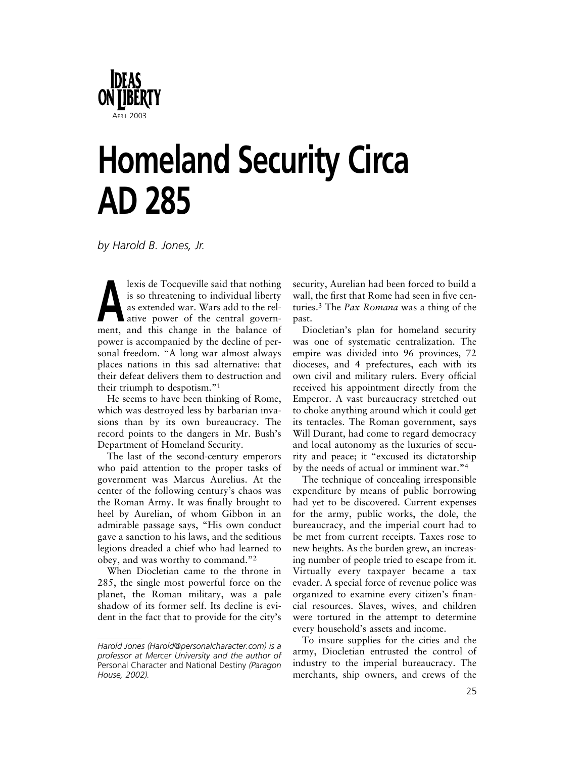

# **Homeland Security Circa AD 285**

*by Harold B. Jones, Jr.*

lexis de Tocqueville said that nothing<br>is so threatening to individual liberty<br>as extended war. Wars add to the rel-<br>ative power of the central govern-<br>ment and this shapes in the blance of is so threatening to individual liberty as extended war. Wars add to the relative power of the central government, and this change in the balance of power is accompanied by the decline of personal freedom. "A long war almost always places nations in this sad alternative: that their defeat delivers them to destruction and their triumph to despotism."1

He seems to have been thinking of Rome, which was destroyed less by barbarian invasions than by its own bureaucracy. The record points to the dangers in Mr. Bush's Department of Homeland Security.

The last of the second-century emperors who paid attention to the proper tasks of government was Marcus Aurelius. At the center of the following century's chaos was the Roman Army. It was finally brought to heel by Aurelian, of whom Gibbon in an admirable passage says, "His own conduct gave a sanction to his laws, and the seditious legions dreaded a chief who had learned to obey, and was worthy to command."2

When Diocletian came to the throne in 285, the single most powerful force on the planet, the Roman military, was a pale shadow of its former self. Its decline is evident in the fact that to provide for the city's security, Aurelian had been forced to build a wall, the first that Rome had seen in five centuries.3 The *Pax Romana* was a thing of the past.

Diocletian's plan for homeland security was one of systematic centralization. The empire was divided into 96 provinces, 72 dioceses, and 4 prefectures, each with its own civil and military rulers. Every official received his appointment directly from the Emperor. A vast bureaucracy stretched out to choke anything around which it could get its tentacles. The Roman government, says Will Durant, had come to regard democracy and local autonomy as the luxuries of security and peace; it "excused its dictatorship by the needs of actual or imminent war."4

The technique of concealing irresponsible expenditure by means of public borrowing had yet to be discovered. Current expenses for the army, public works, the dole, the bureaucracy, and the imperial court had to be met from current receipts. Taxes rose to new heights. As the burden grew, an increasing number of people tried to escape from it. Virtually every taxpayer became a tax evader. A special force of revenue police was organized to examine every citizen's financial resources. Slaves, wives, and children were tortured in the attempt to determine every household's assets and income.

To insure supplies for the cities and the army, Diocletian entrusted the control of industry to the imperial bureaucracy. The merchants, ship owners, and crews of the

*Harold Jones (Harold@personalcharacter.com) is a professor at Mercer University and the author of* Personal Character and National Destiny *(Paragon House, 2002).*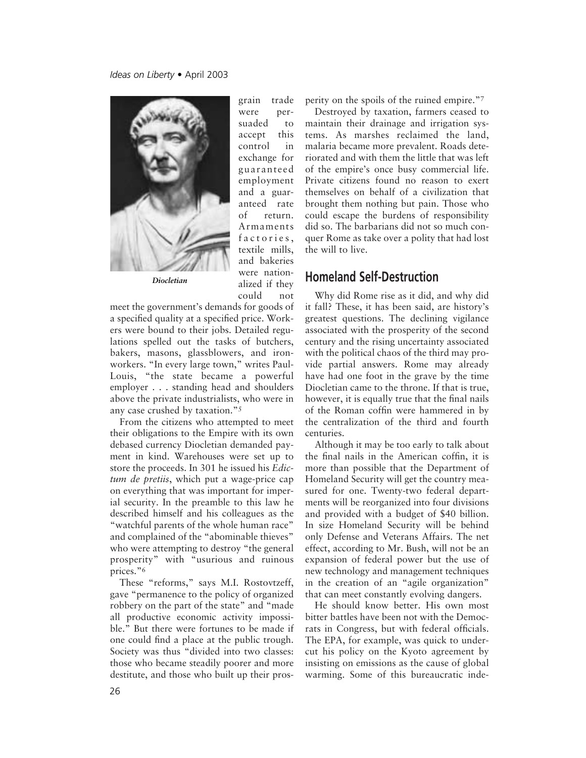

*Diocletian*

grain trade were persuaded to accept this control in exchange for guaranteed employment and a guaranteed rate of return. Armaments factories, textile mills, and bakeries were nationalized if they could not

meet the government's demands for goods of a specified quality at a specified price. Workers were bound to their jobs. Detailed regulations spelled out the tasks of butchers, bakers, masons, glassblowers, and ironworkers. "In every large town," writes Paul-Louis, "the state became a powerful employer . . . standing head and shoulders above the private industrialists, who were in any case crushed by taxation."5

From the citizens who attempted to meet their obligations to the Empire with its own debased currency Diocletian demanded payment in kind. Warehouses were set up to store the proceeds. In 301 he issued his *Edictum de pretiis*, which put a wage-price cap on everything that was important for imperial security. In the preamble to this law he described himself and his colleagues as the "watchful parents of the whole human race" and complained of the "abominable thieves" who were attempting to destroy "the general prosperity" with "usurious and ruinous prices."6

These "reforms," says M.I. Rostovtzeff, gave "permanence to the policy of organized robbery on the part of the state" and "made all productive economic activity impossible." But there were fortunes to be made if one could find a place at the public trough. Society was thus "divided into two classes: those who became steadily poorer and more destitute, and those who built up their prosperity on the spoils of the ruined empire."7

Destroyed by taxation, farmers ceased to maintain their drainage and irrigation systems. As marshes reclaimed the land, malaria became more prevalent. Roads deteriorated and with them the little that was left of the empire's once busy commercial life. Private citizens found no reason to exert themselves on behalf of a civilization that brought them nothing but pain. Those who could escape the burdens of responsibility did so. The barbarians did not so much conquer Rome as take over a polity that had lost the will to live.

#### **Homeland Self-Destruction**

Why did Rome rise as it did, and why did it fall? These, it has been said, are history's greatest questions. The declining vigilance associated with the prosperity of the second century and the rising uncertainty associated with the political chaos of the third may provide partial answers. Rome may already have had one foot in the grave by the time Diocletian came to the throne. If that is true, however, it is equally true that the final nails of the Roman coffin were hammered in by the centralization of the third and fourth centuries.

Although it may be too early to talk about the final nails in the American coffin, it is more than possible that the Department of Homeland Security will get the country measured for one. Twenty-two federal departments will be reorganized into four divisions and provided with a budget of \$40 billion. In size Homeland Security will be behind only Defense and Veterans Affairs. The net effect, according to Mr. Bush, will not be an expansion of federal power but the use of new technology and management techniques in the creation of an "agile organization" that can meet constantly evolving dangers.

He should know better. His own most bitter battles have been not with the Democrats in Congress, but with federal officials. The EPA, for example, was quick to undercut his policy on the Kyoto agreement by insisting on emissions as the cause of global warming. Some of this bureaucratic inde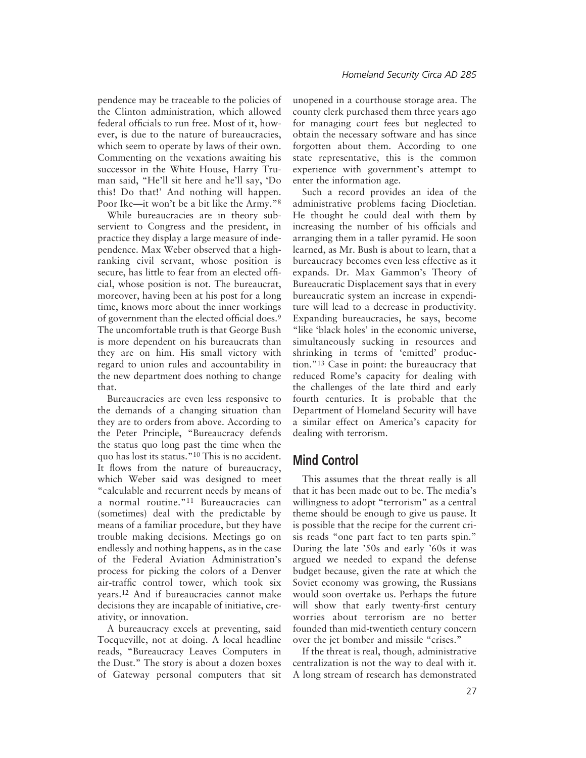pendence may be traceable to the policies of the Clinton administration, which allowed federal officials to run free. Most of it, however, is due to the nature of bureaucracies, which seem to operate by laws of their own. Commenting on the vexations awaiting his successor in the White House, Harry Truman said, "He'll sit here and he'll say, 'Do this! Do that!' And nothing will happen. Poor Ike—it won't be a bit like the Army."8

While bureaucracies are in theory subservient to Congress and the president, in practice they display a large measure of independence. Max Weber observed that a highranking civil servant, whose position is secure, has little to fear from an elected official, whose position is not. The bureaucrat, moreover, having been at his post for a long time, knows more about the inner workings of government than the elected official does.9 The uncomfortable truth is that George Bush is more dependent on his bureaucrats than they are on him. His small victory with regard to union rules and accountability in the new department does nothing to change that.

Bureaucracies are even less responsive to the demands of a changing situation than they are to orders from above. According to the Peter Principle, "Bureaucracy defends the status quo long past the time when the quo has lost its status."10 This is no accident. It flows from the nature of bureaucracy, which Weber said was designed to meet "calculable and recurrent needs by means of a normal routine."11 Bureaucracies can (sometimes) deal with the predictable by means of a familiar procedure, but they have trouble making decisions. Meetings go on endlessly and nothing happens, as in the case of the Federal Aviation Administration's process for picking the colors of a Denver air-traffic control tower, which took six years.12 And if bureaucracies cannot make decisions they are incapable of initiative, creativity, or innovation.

A bureaucracy excels at preventing, said Tocqueville, not at doing. A local headline reads, "Bureaucracy Leaves Computers in the Dust." The story is about a dozen boxes of Gateway personal computers that sit

unopened in a courthouse storage area. The county clerk purchased them three years ago for managing court fees but neglected to obtain the necessary software and has since forgotten about them. According to one state representative, this is the common experience with government's attempt to enter the information age.

Such a record provides an idea of the administrative problems facing Diocletian. He thought he could deal with them by increasing the number of his officials and arranging them in a taller pyramid. He soon learned, as Mr. Bush is about to learn, that a bureaucracy becomes even less effective as it expands. Dr. Max Gammon's Theory of Bureaucratic Displacement says that in every bureaucratic system an increase in expenditure will lead to a decrease in productivity. Expanding bureaucracies, he says, become "like 'black holes' in the economic universe, simultaneously sucking in resources and shrinking in terms of 'emitted' production."13 Case in point: the bureaucracy that reduced Rome's capacity for dealing with the challenges of the late third and early fourth centuries. It is probable that the Department of Homeland Security will have a similar effect on America's capacity for dealing with terrorism.

## **Mind Control**

This assumes that the threat really is all that it has been made out to be. The media's willingness to adopt "terrorism" as a central theme should be enough to give us pause. It is possible that the recipe for the current crisis reads "one part fact to ten parts spin." During the late '50s and early '60s it was argued we needed to expand the defense budget because, given the rate at which the Soviet economy was growing, the Russians would soon overtake us. Perhaps the future will show that early twenty-first century worries about terrorism are no better founded than mid-twentieth century concern over the jet bomber and missile "crises."

If the threat is real, though, administrative centralization is not the way to deal with it. A long stream of research has demonstrated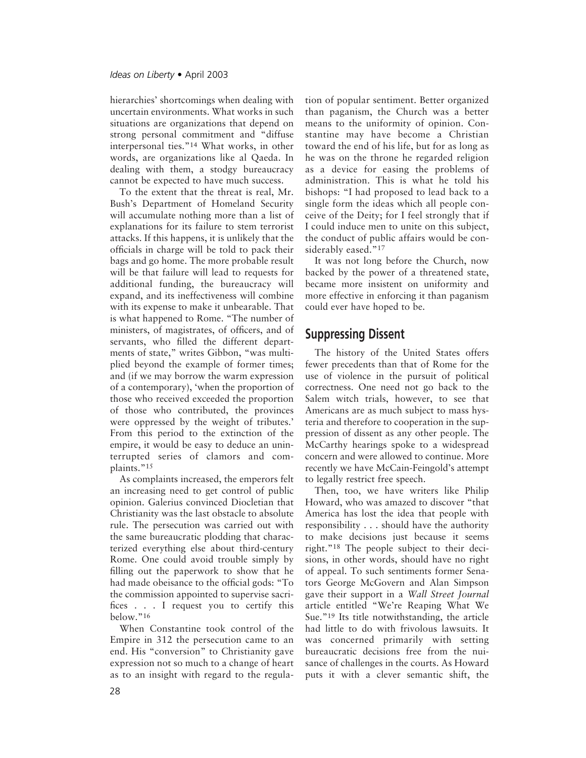hierarchies' shortcomings when dealing with uncertain environments. What works in such situations are organizations that depend on strong personal commitment and "diffuse interpersonal ties."14 What works, in other words, are organizations like al Qaeda. In dealing with them, a stodgy bureaucracy cannot be expected to have much success.

To the extent that the threat is real, Mr. Bush's Department of Homeland Security will accumulate nothing more than a list of explanations for its failure to stem terrorist attacks. If this happens, it is unlikely that the officials in charge will be told to pack their bags and go home. The more probable result will be that failure will lead to requests for additional funding, the bureaucracy will expand, and its ineffectiveness will combine with its expense to make it unbearable. That is what happened to Rome. "The number of ministers, of magistrates, of officers, and of servants, who filled the different departments of state," writes Gibbon, "was multiplied beyond the example of former times; and (if we may borrow the warm expression of a contemporary), 'when the proportion of those who received exceeded the proportion of those who contributed, the provinces were oppressed by the weight of tributes.' From this period to the extinction of the empire, it would be easy to deduce an uninterrupted series of clamors and complaints."<sup>15</sup>

As complaints increased, the emperors felt an increasing need to get control of public opinion. Galerius convinced Diocletian that Christianity was the last obstacle to absolute rule. The persecution was carried out with the same bureaucratic plodding that characterized everything else about third-century Rome. One could avoid trouble simply by filling out the paperwork to show that he had made obeisance to the official gods: "To the commission appointed to supervise sacrifices . . . I request you to certify this below."16

When Constantine took control of the Empire in 312 the persecution came to an end. His "conversion" to Christianity gave expression not so much to a change of heart as to an insight with regard to the regulation of popular sentiment. Better organized than paganism, the Church was a better means to the uniformity of opinion. Constantine may have become a Christian toward the end of his life, but for as long as he was on the throne he regarded religion as a device for easing the problems of administration. This is what he told his bishops: "I had proposed to lead back to a single form the ideas which all people conceive of the Deity; for I feel strongly that if I could induce men to unite on this subject, the conduct of public affairs would be considerably eased."<sup>17</sup>

It was not long before the Church, now backed by the power of a threatened state, became more insistent on uniformity and more effective in enforcing it than paganism could ever have hoped to be.

## **Suppressing Dissent**

The history of the United States offers fewer precedents than that of Rome for the use of violence in the pursuit of political correctness. One need not go back to the Salem witch trials, however, to see that Americans are as much subject to mass hysteria and therefore to cooperation in the suppression of dissent as any other people. The McCarthy hearings spoke to a widespread concern and were allowed to continue. More recently we have McCain-Feingold's attempt to legally restrict free speech.

Then, too, we have writers like Philip Howard, who was amazed to discover "that America has lost the idea that people with responsibility . . . should have the authority to make decisions just because it seems right."18 The people subject to their decisions, in other words, should have no right of appeal. To such sentiments former Senators George McGovern and Alan Simpson gave their support in a *Wall Street Journal* article entitled "We're Reaping What We Sue."19 Its title notwithstanding, the article had little to do with frivolous lawsuits. It was concerned primarily with setting bureaucratic decisions free from the nuisance of challenges in the courts. As Howard puts it with a clever semantic shift, the